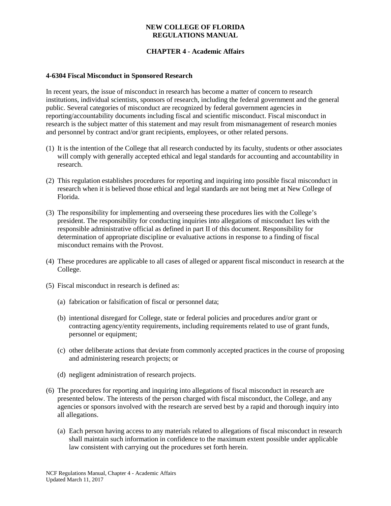# **CHAPTER 4 - Academic Affairs**

#### **4-6304 Fiscal Misconduct in Sponsored Research**

In recent years, the issue of misconduct in research has become a matter of concern to research institutions, individual scientists, sponsors of research, including the federal government and the general public. Several categories of misconduct are recognized by federal government agencies in reporting/accountability documents including fiscal and scientific misconduct. Fiscal misconduct in research is the subject matter of this statement and may result from mismanagement of research monies and personnel by contract and/or grant recipients, employees, or other related persons.

- (1) It is the intention of the College that all research conducted by its faculty, students or other associates will comply with generally accepted ethical and legal standards for accounting and accountability in research.
- (2) This regulation establishes procedures for reporting and inquiring into possible fiscal misconduct in research when it is believed those ethical and legal standards are not being met at New College of Florida.
- (3) The responsibility for implementing and overseeing these procedures lies with the College's president. The responsibility for conducting inquiries into allegations of misconduct lies with the responsible administrative official as defined in part II of this document. Responsibility for determination of appropriate discipline or evaluative actions in response to a finding of fiscal misconduct remains with the Provost.
- (4) These procedures are applicable to all cases of alleged or apparent fiscal misconduct in research at the College.
- (5) Fiscal misconduct in research is defined as:
	- (a) fabrication or falsification of fiscal or personnel data;
	- (b) intentional disregard for College, state or federal policies and procedures and/or grant or contracting agency/entity requirements, including requirements related to use of grant funds, personnel or equipment;
	- (c) other deliberate actions that deviate from commonly accepted practices in the course of proposing and administering research projects; or
	- (d) negligent administration of research projects.
- (6) The procedures for reporting and inquiring into allegations of fiscal misconduct in research are presented below. The interests of the person charged with fiscal misconduct, the College, and any agencies or sponsors involved with the research are served best by a rapid and thorough inquiry into all allegations.
	- (a) Each person having access to any materials related to allegations of fiscal misconduct in research shall maintain such information in confidence to the maximum extent possible under applicable law consistent with carrying out the procedures set forth herein.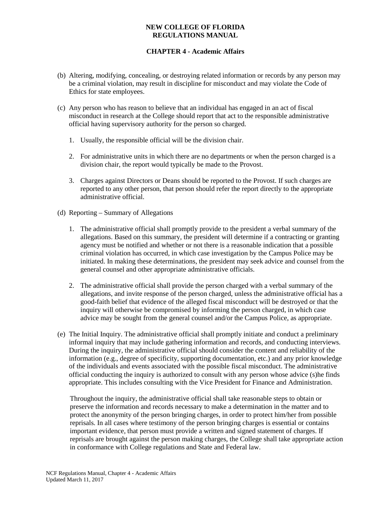# **CHAPTER 4 - Academic Affairs**

- (b) Altering, modifying, concealing, or destroying related information or records by any person may be a criminal violation, may result in discipline for misconduct and may violate the Code of Ethics for state employees.
- (c) Any person who has reason to believe that an individual has engaged in an act of fiscal misconduct in research at the College should report that act to the responsible administrative official having supervisory authority for the person so charged.
	- 1. Usually, the responsible official will be the division chair.
	- 2. For administrative units in which there are no departments or when the person charged is a division chair, the report would typically be made to the Provost.
	- 3. Charges against Directors or Deans should be reported to the Provost. If such charges are reported to any other person, that person should refer the report directly to the appropriate administrative official.
- (d) Reporting Summary of Allegations
	- 1. The administrative official shall promptly provide to the president a verbal summary of the allegations. Based on this summary, the president will determine if a contracting or granting agency must be notified and whether or not there is a reasonable indication that a possible criminal violation has occurred, in which case investigation by the Campus Police may be initiated. In making these determinations, the president may seek advice and counsel from the general counsel and other appropriate administrative officials.
	- 2. The administrative official shall provide the person charged with a verbal summary of the allegations, and invite response of the person charged, unless the administrative official has a good-faith belief that evidence of the alleged fiscal misconduct will be destroyed or that the inquiry will otherwise be compromised by informing the person charged, in which case advice may be sought from the general counsel and/or the Campus Police, as appropriate.
- (e) The Initial Inquiry. The administrative official shall promptly initiate and conduct a preliminary informal inquiry that may include gathering information and records, and conducting interviews. During the inquiry, the administrative official should consider the content and reliability of the information (e.g., degree of specificity, supporting documentation, etc.) and any prior knowledge of the individuals and events associated with the possible fiscal misconduct. The administrative official conducting the inquiry is authorized to consult with any person whose advice (s)he finds appropriate. This includes consulting with the Vice President for Finance and Administration.

Throughout the inquiry, the administrative official shall take reasonable steps to obtain or preserve the information and records necessary to make a determination in the matter and to protect the anonymity of the person bringing charges, in order to protect him/her from possible reprisals. In all cases where testimony of the person bringing charges is essential or contains important evidence, that person must provide a written and signed statement of charges. If reprisals are brought against the person making charges, the College shall take appropriate action in conformance with College regulations and State and Federal law.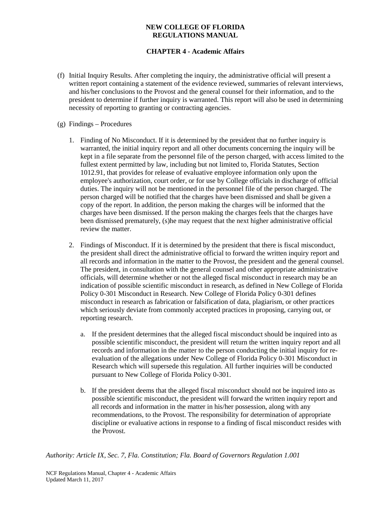# **CHAPTER 4 - Academic Affairs**

- (f) Initial Inquiry Results. After completing the inquiry, the administrative official will present a written report containing a statement of the evidence reviewed, summaries of relevant interviews, and his/her conclusions to the Provost and the general counsel for their information, and to the president to determine if further inquiry is warranted. This report will also be used in determining necessity of reporting to granting or contracting agencies.
- (g) Findings Procedures
	- 1. Finding of No Misconduct. If it is determined by the president that no further inquiry is warranted, the initial inquiry report and all other documents concerning the inquiry will be kept in a file separate from the personnel file of the person charged, with access limited to the fullest extent permitted by law, including but not limited to, Florida Statutes, Section 1012.91, that provides for release of evaluative employee information only upon the employee's authorization, court order, or for use by College officials in discharge of official duties. The inquiry will not be mentioned in the personnel file of the person charged. The person charged will be notified that the charges have been dismissed and shall be given a copy of the report. In addition, the person making the charges will be informed that the charges have been dismissed. If the person making the charges feels that the charges have been dismissed prematurely, (s)he may request that the next higher administrative official review the matter.
	- 2. Findings of Misconduct. If it is determined by the president that there is fiscal misconduct, the president shall direct the administrative official to forward the written inquiry report and all records and information in the matter to the Provost, the president and the general counsel. The president, in consultation with the general counsel and other appropriate administrative officials, will determine whether or not the alleged fiscal misconduct in research may be an indication of possible scientific misconduct in research, as defined in New College of Florida Policy 0-301 Misconduct in Research. New College of Florida Policy 0-301 defines misconduct in research as fabrication or falsification of data, plagiarism, or other practices which seriously deviate from commonly accepted practices in proposing, carrying out, or reporting research.
		- a. If the president determines that the alleged fiscal misconduct should be inquired into as possible scientific misconduct, the president will return the written inquiry report and all records and information in the matter to the person conducting the initial inquiry for reevaluation of the allegations under New College of Florida Policy 0-301 Misconduct in Research which will supersede this regulation. All further inquiries will be conducted pursuant to New College of Florida Policy 0-301.
		- b. If the president deems that the alleged fiscal misconduct should not be inquired into as possible scientific misconduct, the president will forward the written inquiry report and all records and information in the matter in his/her possession, along with any recommendations, to the Provost. The responsibility for determination of appropriate discipline or evaluative actions in response to a finding of fiscal misconduct resides with the Provost.

*Authority: Article IX, Sec. 7, Fla. Constitution; Fla. Board of Governors Regulation 1.001*